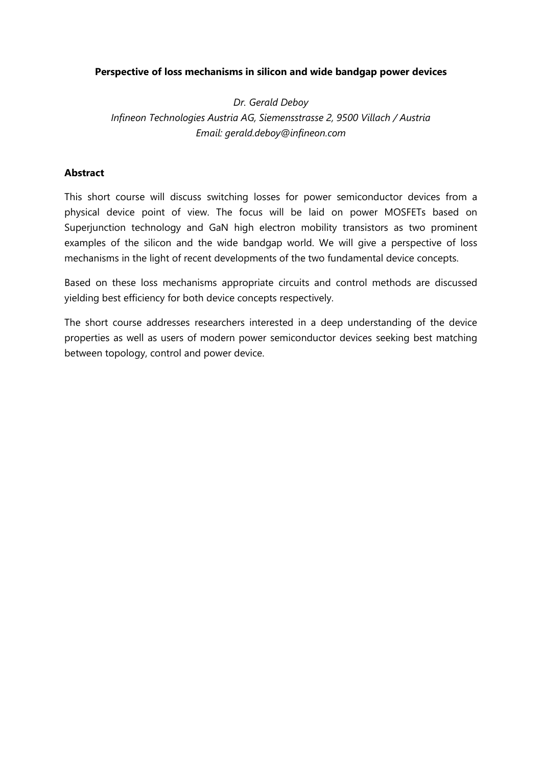## **Perspective of loss mechanisms in silicon and wide bandgap power devices**

*Dr. Gerald Deboy Infineon Technologies Austria AG, Siemensstrasse 2, 9500 Villach / Austria Email: gerald.deboy@infineon.com*

## **Abstract**

This short course will discuss switching losses for power semiconductor devices from a physical device point of view. The focus will be laid on power MOSFETs based on Superjunction technology and GaN high electron mobility transistors as two prominent examples of the silicon and the wide bandgap world. We will give a perspective of loss mechanisms in the light of recent developments of the two fundamental device concepts.

Based on these loss mechanisms appropriate circuits and control methods are discussed yielding best efficiency for both device concepts respectively.

The short course addresses researchers interested in a deep understanding of the device properties as well as users of modern power semiconductor devices seeking best matching between topology, control and power device.